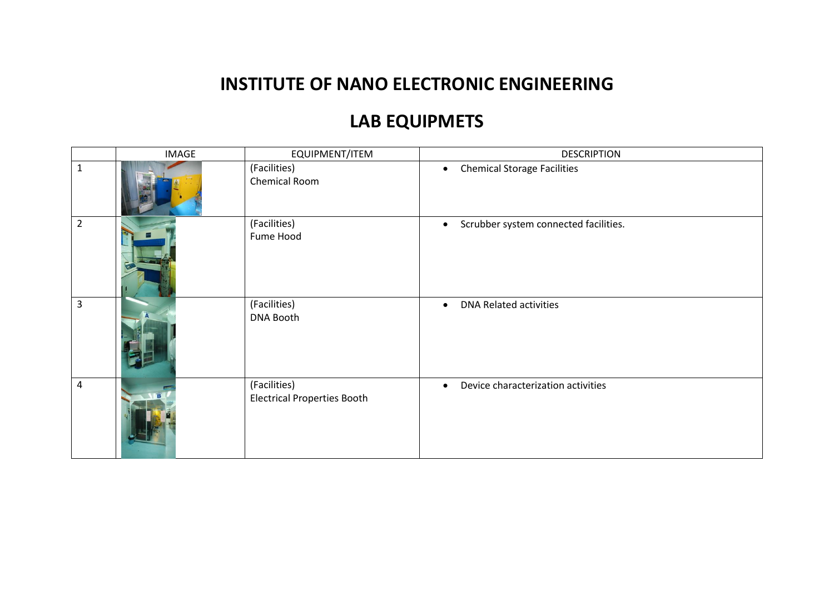## **INSTITUTE OF NANO ELECTRONIC ENGINEERING**

## **LAB EQUIPMETS**

|                | <b>IMAGE</b> | EQUIPMENT/ITEM                                     | <b>DESCRIPTION</b>                                 |
|----------------|--------------|----------------------------------------------------|----------------------------------------------------|
| $\mathbf{1}$   |              | (Facilities)<br>Chemical Room                      | <b>Chemical Storage Facilities</b><br>$\bullet$    |
| $\overline{2}$ |              | (Facilities)<br>Fume Hood                          | Scrubber system connected facilities.<br>$\bullet$ |
| $\overline{3}$ |              | (Facilities)<br><b>DNA Booth</b>                   | <b>DNA Related activities</b><br>$\bullet$         |
| 4              |              | (Facilities)<br><b>Electrical Properties Booth</b> | Device characterization activities<br>$\bullet$    |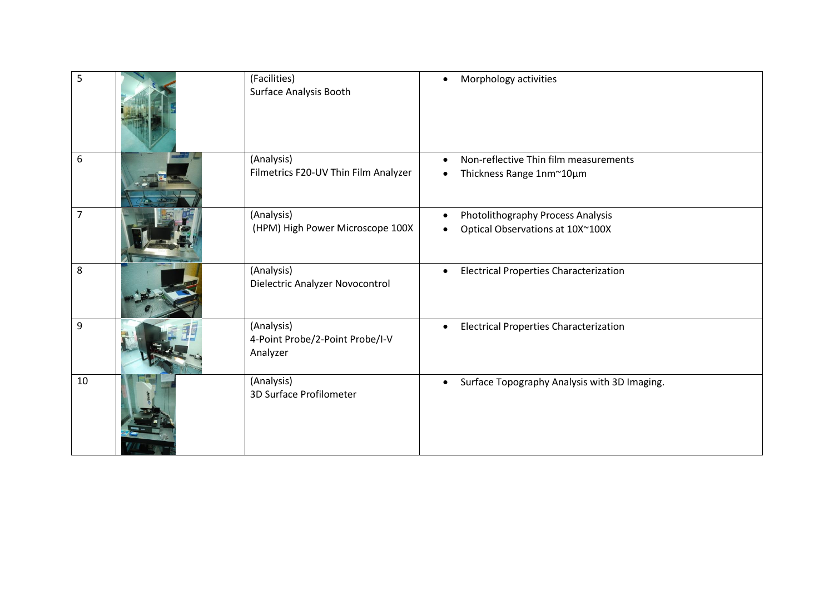| 5              | (Facilities)<br>Surface Analysis Booth                    | Morphology activities<br>$\bullet$                                                          |
|----------------|-----------------------------------------------------------|---------------------------------------------------------------------------------------------|
| 6              | (Analysis)<br>Filmetrics F20-UV Thin Film Analyzer        | Non-reflective Thin film measurements<br>$\bullet$<br>Thickness Range 1nm~10µm<br>$\bullet$ |
| $\overline{7}$ | (Analysis)<br>(HPM) High Power Microscope 100X            | Photolithography Process Analysis<br>$\bullet$<br>Optical Observations at 10X~100X<br>٠     |
| 8              | (Analysis)<br>Dielectric Analyzer Novocontrol             | <b>Electrical Properties Characterization</b><br>$\bullet$                                  |
| 9              | (Analysis)<br>4-Point Probe/2-Point Probe/I-V<br>Analyzer | <b>Electrical Properties Characterization</b><br>$\bullet$                                  |
| 10             | (Analysis)<br>3D Surface Profilometer                     | Surface Topography Analysis with 3D Imaging.<br>$\bullet$                                   |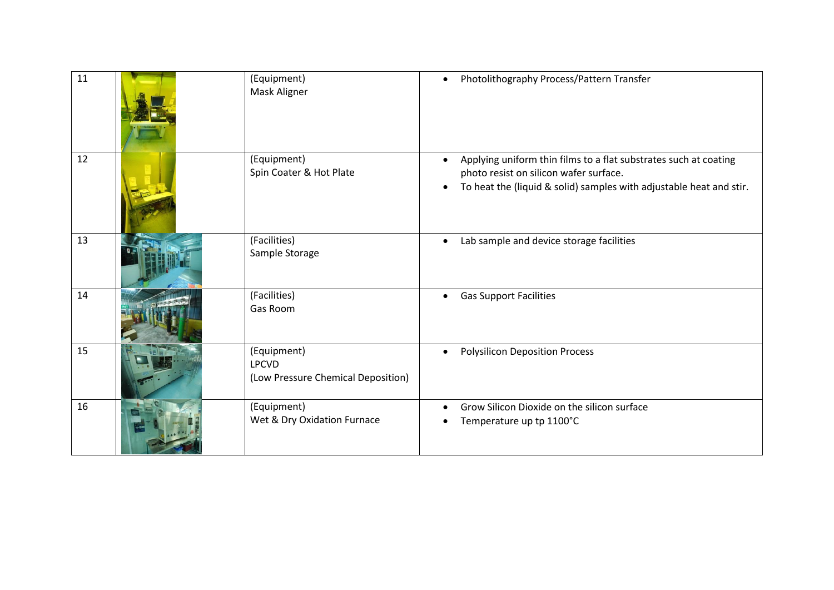| 11 | (Equipment)<br>Mask Aligner                                       | Photolithography Process/Pattern Transfer<br>$\bullet$                                                                                                                                                      |
|----|-------------------------------------------------------------------|-------------------------------------------------------------------------------------------------------------------------------------------------------------------------------------------------------------|
| 12 | (Equipment)<br>Spin Coater & Hot Plate                            | Applying uniform thin films to a flat substrates such at coating<br>$\bullet$<br>photo resist on silicon wafer surface.<br>To heat the (liquid & solid) samples with adjustable heat and stir.<br>$\bullet$ |
| 13 | (Facilities)<br>Sample Storage                                    | Lab sample and device storage facilities<br>$\bullet$                                                                                                                                                       |
| 14 | (Facilities)<br>Gas Room                                          | <b>Gas Support Facilities</b><br>$\bullet$                                                                                                                                                                  |
| 15 | (Equipment)<br><b>LPCVD</b><br>(Low Pressure Chemical Deposition) | <b>Polysilicon Deposition Process</b><br>$\bullet$                                                                                                                                                          |
| 16 | (Equipment)<br>Wet & Dry Oxidation Furnace                        | Grow Silicon Dioxide on the silicon surface<br>$\bullet$<br>Temperature up tp 1100°C<br>٠                                                                                                                   |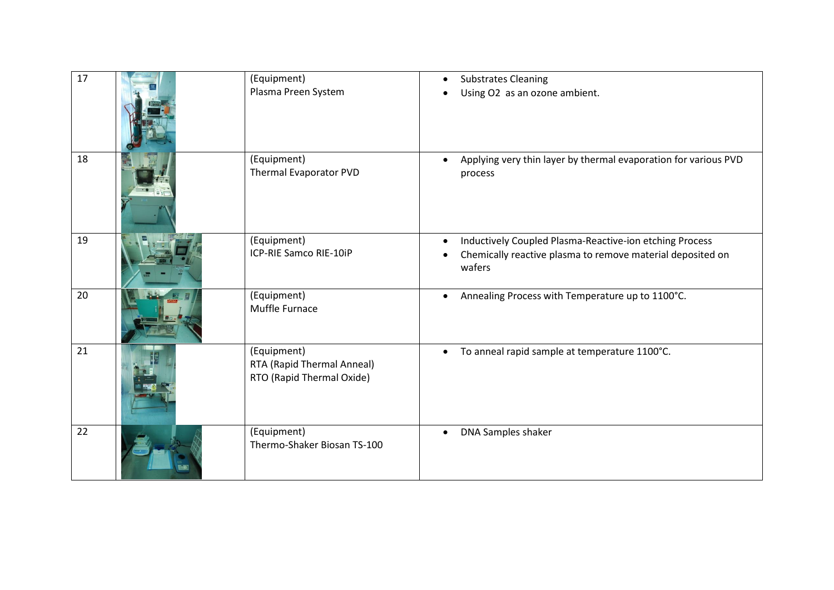| 17 | (Equipment)<br>Plasma Preen System                                     | <b>Substrates Cleaning</b><br>$\bullet$<br>Using O2 as an ozone ambient.<br>$\bullet$                                                        |
|----|------------------------------------------------------------------------|----------------------------------------------------------------------------------------------------------------------------------------------|
| 18 | (Equipment)<br>Thermal Evaporator PVD                                  | Applying very thin layer by thermal evaporation for various PVD<br>$\bullet$<br>process                                                      |
| 19 | (Equipment)<br>ICP-RIE Samco RIE-10iP                                  | Inductively Coupled Plasma-Reactive-ion etching Process<br>$\bullet$<br>Chemically reactive plasma to remove material deposited on<br>wafers |
| 20 | (Equipment)<br>Muffle Furnace                                          | Annealing Process with Temperature up to 1100°C.<br>$\bullet$                                                                                |
| 21 | (Equipment)<br>RTA (Rapid Thermal Anneal)<br>RTO (Rapid Thermal Oxide) | To anneal rapid sample at temperature 1100°C.<br>$\bullet$                                                                                   |
| 22 | (Equipment)<br>Thermo-Shaker Biosan TS-100                             | DNA Samples shaker<br>$\bullet$                                                                                                              |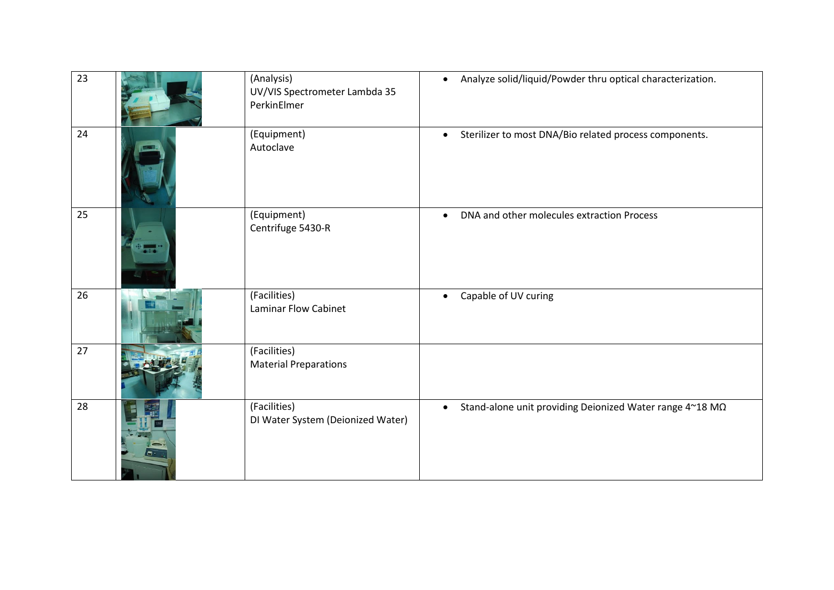| 23 |                          | (Analysis)<br>UV/VIS Spectrometer Lambda 35<br>PerkinElmer | Analyze solid/liquid/Powder thru optical characterization.<br>$\bullet$ |
|----|--------------------------|------------------------------------------------------------|-------------------------------------------------------------------------|
| 24 |                          | (Equipment)<br>Autoclave                                   | Sterilizer to most DNA/Bio related process components.<br>$\bullet$     |
| 25 | $\overline{\phantom{a}}$ | (Equipment)<br>Centrifuge 5430-R                           | DNA and other molecules extraction Process<br>$\bullet$                 |
| 26 |                          | (Facilities)<br><b>Laminar Flow Cabinet</b>                | Capable of UV curing<br>$\bullet$                                       |
| 27 |                          | (Facilities)<br><b>Material Preparations</b>               |                                                                         |
| 28 |                          | (Facilities)<br>DI Water System (Deionized Water)          | Stand-alone unit providing Deionized Water range 4~18 MQ<br>$\bullet$   |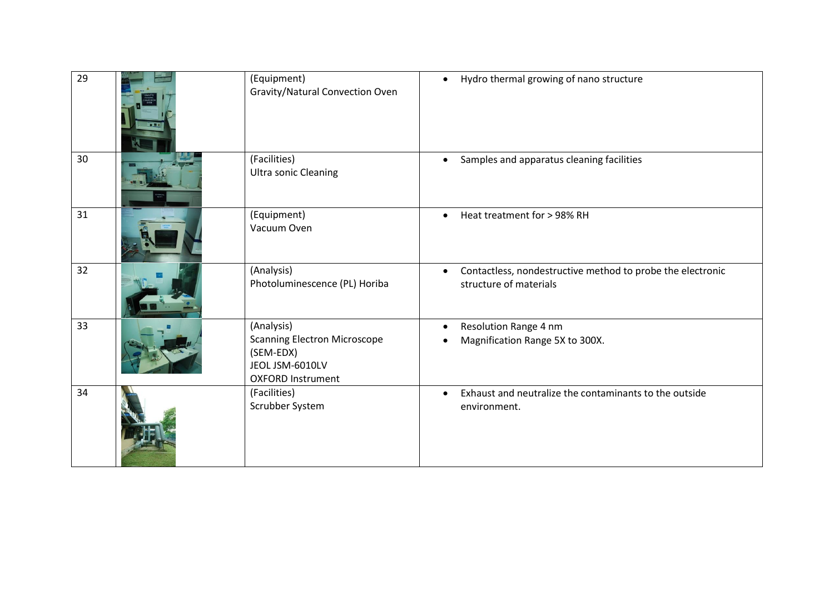| 29 | (Equipment)<br>Gravity/Natural Convection Oven                                                                | Hydro thermal growing of nano structure<br>$\bullet$                                              |
|----|---------------------------------------------------------------------------------------------------------------|---------------------------------------------------------------------------------------------------|
| 30 | (Facilities)<br><b>Ultra sonic Cleaning</b>                                                                   | Samples and apparatus cleaning facilities<br>$\bullet$                                            |
| 31 | (Equipment)<br>Vacuum Oven                                                                                    | Heat treatment for > 98% RH<br>$\bullet$                                                          |
| 32 | (Analysis)<br>Photoluminescence (PL) Horiba                                                                   | Contactless, nondestructive method to probe the electronic<br>$\bullet$<br>structure of materials |
| 33 | (Analysis)<br><b>Scanning Electron Microscope</b><br>(SEM-EDX)<br>JEOL JSM-6010LV<br><b>OXFORD Instrument</b> | Resolution Range 4 nm<br>$\bullet$<br>Magnification Range 5X to 300X.<br>$\bullet$                |
| 34 | (Facilities)<br>Scrubber System                                                                               | Exhaust and neutralize the contaminants to the outside<br>$\bullet$<br>environment.               |